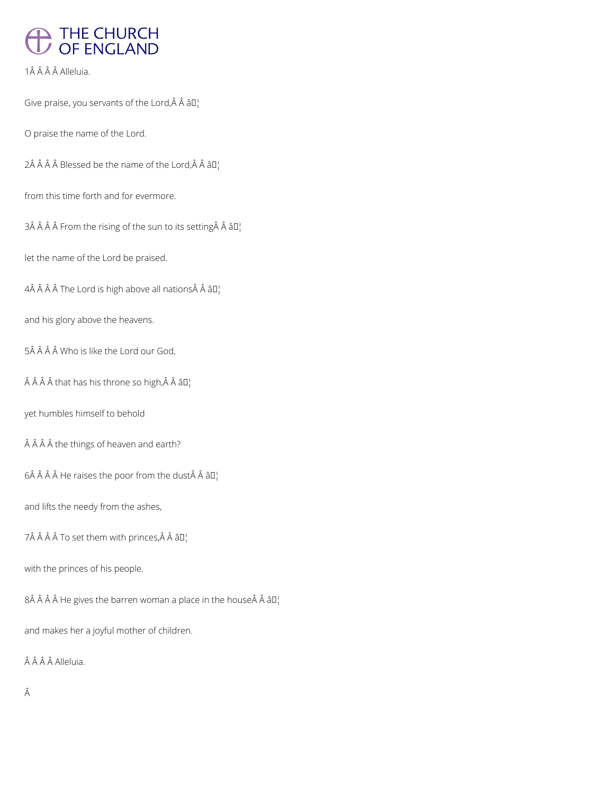## THE CHURCH<br>OF ENGLAND

1Â Â Â Â Alleluia.

Give praise, you servants of the Lord, $\hat{A}$   $\hat{A}$   $\hat{a}$  $\Box$ 

O praise the name of the Lord.

 $2\hat{A}$   $\hat{A}$   $\hat{A}$   $\hat{B}$  lessed be the name of the Lord, $\hat{A}$   $\hat{A}$   $\hat{a}$   $\Box$ 

from this time forth and for evermore.

 $3\hat{A}$   $\hat{A}$   $\hat{A}$  From the rising of the sun to its setting  $\hat{A}$   $\hat{A}$   $\hat{B}$  $\Gamma$ 

let the name of the Lord be praised.

 $4\hat{A}$   $\hat{A}$   $\hat{A}$   $\hat{A}$  The Lord is high above all nations  $\hat{A}$   $\hat{A}$   $\hat{B}$   $\hat{B}$ 

and his glory above the heavens.

5Â Â Â Â Who is like the Lord our God,

 $\hat{A}$   $\hat{A}$   $\hat{A}$   $\hat{A}$  that has his throne so high,  $\hat{A}$   $\hat{A}$   $\hat{a}$   $\Box$ 

yet humbles himself to behold

 $\hat{A}$   $\hat{A}$   $\hat{A}$   $\hat{A}$  the things of heaven and earth?

 $6\hat{A}$   $\hat{A}$   $\hat{A}$  He raises the poor from the dust $\hat{A}$   $\hat{A}$   $\hat{a}$   $\Box$ 

and lifts the needy from the ashes,

7Â Â Â Â To set them with princes, Â Â â D¦

with the princes of his people.

 $8\hat{A}$   $\hat{A}$   $\hat{A}$  He gives the barren woman a place in the house $\hat{A}$   $\hat{A}$   $\hat{a}$   $\Box$ 

and makes her a joyful mother of children.

ÂÂÂÂ Alleluia.

 $\hat{\mathsf{A}}$